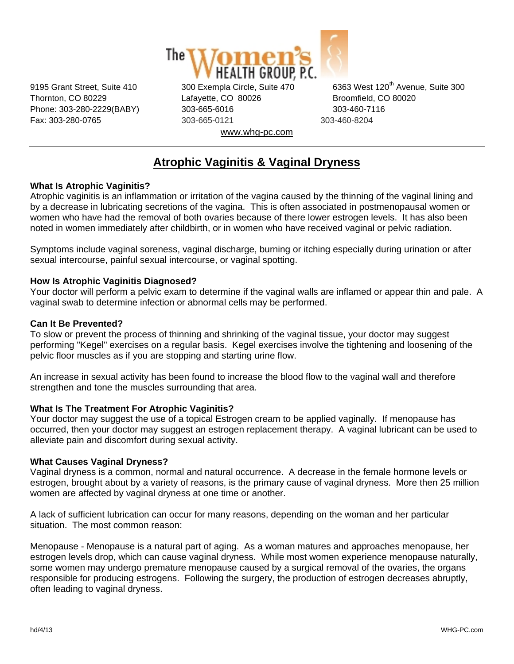

Thornton, CO 80229 Lafayette, CO 80026 Broomfield, CO 80020 Phone: 303-280-2229(BABY) 303-665-6016 303-460-7116 Fax: 303-280-0765 303-665-0121 303-460-8204 www.whg-pc.com

9195 Grant Street, Suite 410 300 Exempla Circle, Suite 470 6363 West 120<sup>th</sup> Avenue, Suite 300

# **Atrophic Vaginitis & Vaginal Dryness**

# **What Is Atrophic Vaginitis?**

Atrophic vaginitis is an inflammation or irritation of the vagina caused by the thinning of the vaginal lining and by a decrease in lubricating secretions of the vagina. This is often associated in postmenopausal women or women who have had the removal of both ovaries because of there lower estrogen levels. It has also been noted in women immediately after childbirth, or in women who have received vaginal or pelvic radiation.

Symptoms include vaginal soreness, vaginal discharge, burning or itching especially during urination or after sexual intercourse, painful sexual intercourse, or vaginal spotting.

# **How Is Atrophic Vaginitis Diagnosed?**

Your doctor will perform a pelvic exam to determine if the vaginal walls are inflamed or appear thin and pale. A vaginal swab to determine infection or abnormal cells may be performed.

# **Can It Be Prevented?**

To slow or prevent the process of thinning and shrinking of the vaginal tissue, your doctor may suggest performing "Kegel" exercises on a regular basis. Kegel exercises involve the tightening and loosening of the pelvic floor muscles as if you are stopping and starting urine flow.

An increase in sexual activity has been found to increase the blood flow to the vaginal wall and therefore strengthen and tone the muscles surrounding that area.

### **What Is The Treatment For Atrophic Vaginitis?**

Your doctor may suggest the use of a topical Estrogen cream to be applied vaginally. If menopause has occurred, then your doctor may suggest an estrogen replacement therapy. A vaginal lubricant can be used to alleviate pain and discomfort during sexual activity.

### **What Causes Vaginal Dryness?**

Vaginal dryness is a common, normal and natural occurrence. A decrease in the female hormone levels or estrogen, brought about by a variety of reasons, is the primary cause of vaginal dryness. More then 25 million women are affected by vaginal dryness at one time or another.

A lack of sufficient lubrication can occur for many reasons, depending on the woman and her particular situation. The most common reason:

Menopause - Menopause is a natural part of aging. As a woman matures and approaches menopause, her estrogen levels drop, which can cause vaginal dryness. While most women experience menopause naturally, some women may undergo premature menopause caused by a surgical removal of the ovaries, the organs responsible for producing estrogens. Following the surgery, the production of estrogen decreases abruptly, often leading to vaginal dryness.